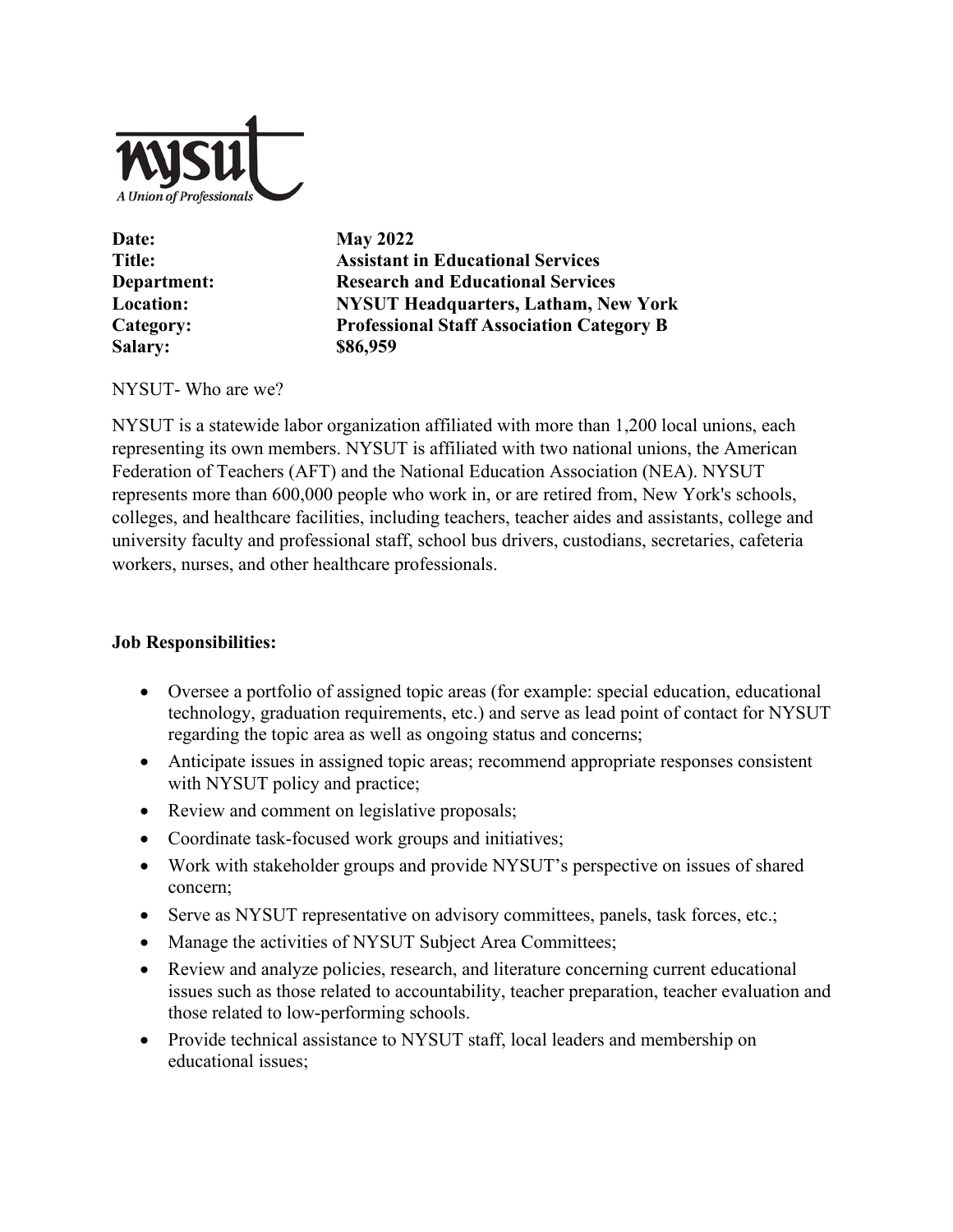

| Date:            |
|------------------|
| <b>Title:</b>    |
| Department:      |
| <b>Location:</b> |
| Category:        |
| <b>Salary:</b>   |

**May 2022 Assistant in Educational Services Department: Research and Educational Services Location: NYSUT Headquarters, Latham, New York Category: Professional Staff Association Category B Salary: \$86,959**

### NYSUT- Who are we?

NYSUT is a statewide labor organization affiliated with more than 1,200 local unions, each representing its own members. NYSUT is affiliated with two national unions, the American Federation of Teachers (AFT) and the National Education Association (NEA). NYSUT represents more than 600,000 people who work in, or are retired from, New York's schools, colleges, and healthcare facilities, including teachers, teacher aides and assistants, college and university faculty and professional staff, school bus drivers, custodians, secretaries, cafeteria workers, nurses, and other healthcare professionals.

# **Job Responsibilities:**

- Oversee a portfolio of assigned topic areas (for example: special education, educational technology, graduation requirements, etc.) and serve as lead point of contact for NYSUT regarding the topic area as well as ongoing status and concerns;
- Anticipate issues in assigned topic areas; recommend appropriate responses consistent with NYSUT policy and practice;
- Review and comment on legislative proposals;
- Coordinate task-focused work groups and initiatives;
- Work with stakeholder groups and provide NYSUT's perspective on issues of shared concern;
- Serve as NYSUT representative on advisory committees, panels, task forces, etc.;
- Manage the activities of NYSUT Subject Area Committees;
- Review and analyze policies, research, and literature concerning current educational issues such as those related to accountability, teacher preparation, teacher evaluation and those related to low-performing schools.
- Provide technical assistance to NYSUT staff, local leaders and membership on educational issues;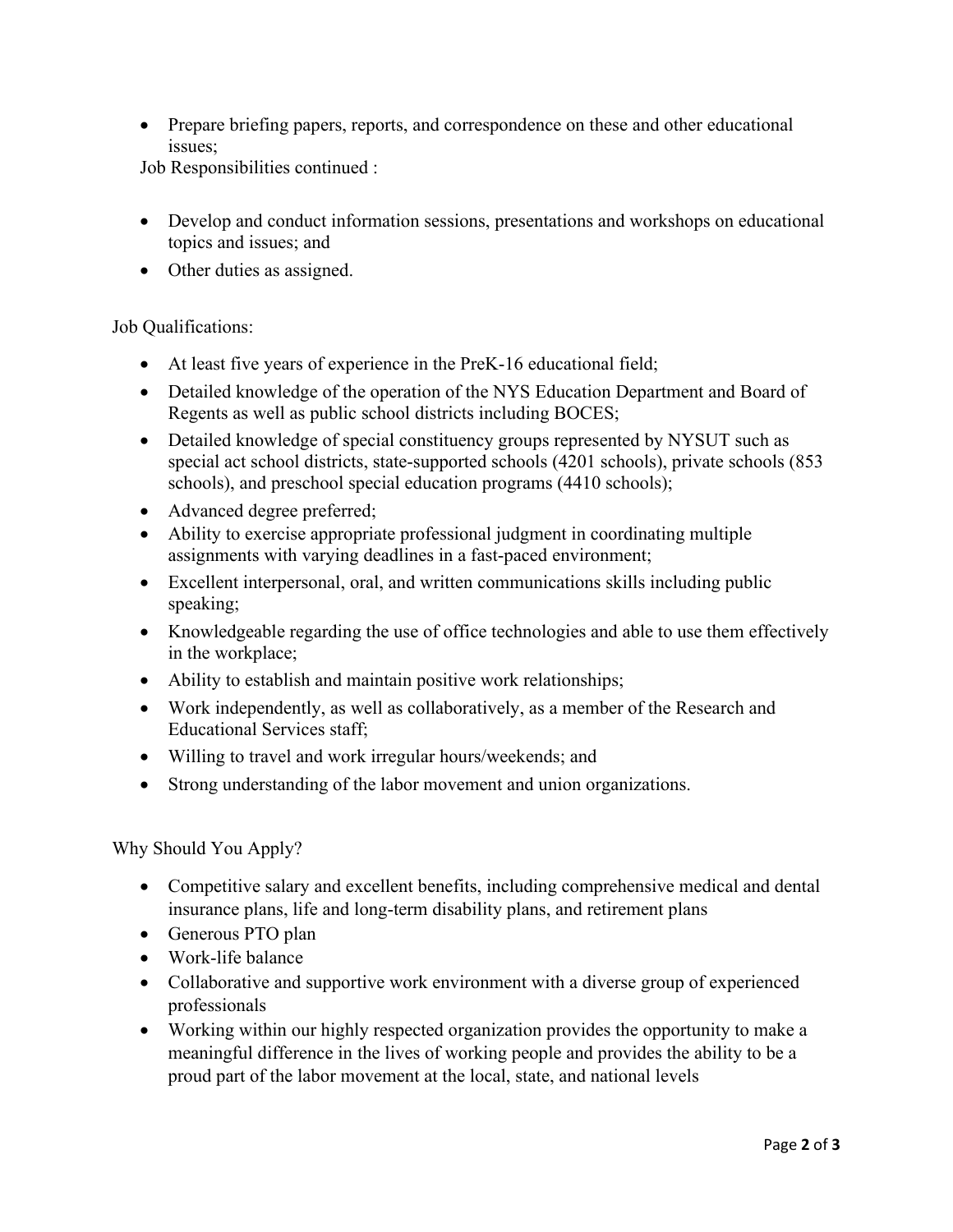• Prepare briefing papers, reports, and correspondence on these and other educational issues;

Job Responsibilities continued :

- Develop and conduct information sessions, presentations and workshops on educational topics and issues; and
- Other duties as assigned.

### Job Qualifications:

- At least five years of experience in the PreK-16 educational field;
- Detailed knowledge of the operation of the NYS Education Department and Board of Regents as well as public school districts including BOCES;
- Detailed knowledge of special constituency groups represented by NYSUT such as special act school districts, state-supported schools (4201 schools), private schools (853 schools), and preschool special education programs (4410 schools);
- Advanced degree preferred;
- Ability to exercise appropriate professional judgment in coordinating multiple assignments with varying deadlines in a fast-paced environment;
- Excellent interpersonal, oral, and written communications skills including public speaking;
- Knowledgeable regarding the use of office technologies and able to use them effectively in the workplace;
- Ability to establish and maintain positive work relationships;
- Work independently, as well as collaboratively, as a member of the Research and Educational Services staff;
- Willing to travel and work irregular hours/weekends; and
- Strong understanding of the labor movement and union organizations.

Why Should You Apply?

- Competitive salary and excellent benefits, including comprehensive medical and dental insurance plans, life and long-term disability plans, and retirement plans
- Generous PTO plan
- Work-life balance
- Collaborative and supportive work environment with a diverse group of experienced professionals
- Working within our highly respected organization provides the opportunity to make a meaningful difference in the lives of working people and provides the ability to be a proud part of the labor movement at the local, state, and national levels